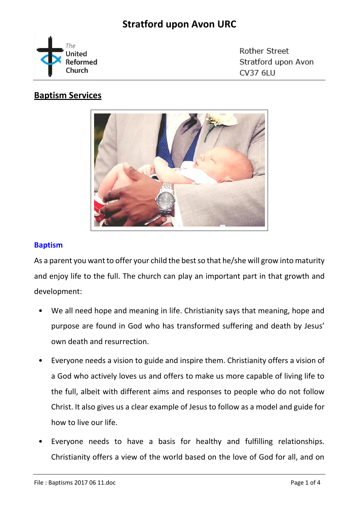# **Stratford upon Avon URC**



Rother Street Stratford upon Avon CV37 6LU

### **Baptism Services**



### **Baptism**

As a parent you want to offer your child the best so that he/she will grow into maturity and enjoy life to the full. The church can play an important part in that growth and development:

- We all need hope and meaning in life. Christianity says that meaning, hope and purpose are found in God who has transformed suffering and death by Jesus' own death and resurrection.
- Everyone needs a vision to guide and inspire them. Christianity offers a vision of a God who actively loves us and offers to make us more capable of living life to the full, albeit with different aims and responses to people who do not follow Christ. It also gives us a clear example of Jesus to follow as a model and guide for how to live our life.
- Everyone needs to have a basis for healthy and fulfilling relationships. Christianity offers a view of the world based on the love of God for all, and on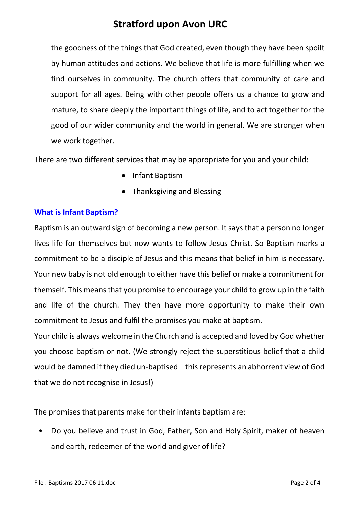# **Stratford upon Avon URC**

the goodness of the things that God created, even though they have been spoilt by human attitudes and actions. We believe that life is more fulfilling when we find ourselves in community. The church offers that community of care and support for all ages. Being with other people offers us a chance to grow and mature, to share deeply the important things of life, and to act together for the good of our wider community and the world in general. We are stronger when we work together.

There are two different services that may be appropriate for you and your child:

- Infant Baptism
- Thanksgiving and Blessing

#### **What is Infant Baptism?**

Baptism is an outward sign of becoming a new person. It says that a person no longer lives life for themselves but now wants to follow Jesus Christ. So Baptism marks a commitment to be a disciple of Jesus and this means that belief in him is necessary. Your new baby is not old enough to either have this belief or make a commitment for themself. This means that you promise to encourage your child to grow up in the faith and life of the church. They then have more opportunity to make their own commitment to Jesus and fulfil the promises you make at baptism.

Your child is always welcome in the Church and is accepted and loved by God whether you choose baptism or not. (We strongly reject the superstitious belief that a child would be damned if they died un-baptised – this represents an abhorrent view of God that we do not recognise in Jesus!)

The promises that parents make for their infants baptism are:

• Do you believe and trust in God, Father, Son and Holy Spirit, maker of heaven and earth, redeemer of the world and giver of life?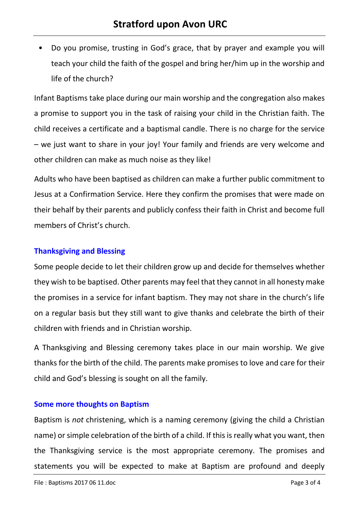• Do you promise, trusting in God's grace, that by prayer and example you will teach your child the faith of the gospel and bring her/him up in the worship and life of the church?

Infant Baptisms take place during our main worship and the congregation also makes a promise to support you in the task of raising your child in the Christian faith. The child receives a certificate and a baptismal candle. There is no charge for the service – we just want to share in your joy! Your family and friends are very welcome and other children can make as much noise as they like!

Adults who have been baptised as children can make a further public commitment to Jesus at a Confirmation Service. Here they confirm the promises that were made on their behalf by their parents and publicly confess their faith in Christ and become full members of Christ's church.

#### **Thanksgiving and Blessing**

Some people decide to let their children grow up and decide for themselves whether they wish to be baptised. Other parents may feel that they cannot in all honesty make the promises in a service for infant baptism. They may not share in the church's life on a regular basis but they still want to give thanks and celebrate the birth of their children with friends and in Christian worship.

A Thanksgiving and Blessing ceremony takes place in our main worship. We give thanks for the birth of the child. The parents make promises to love and care for their child and God's blessing is sought on all the family.

#### **Some more thoughts on Baptism**

Baptism is *not* christening, which is a naming ceremony (giving the child a Christian name) or simple celebration of the birth of a child. If this is really what you want, then the Thanksgiving service is the most appropriate ceremony. The promises and statements you will be expected to make at Baptism are profound and deeply